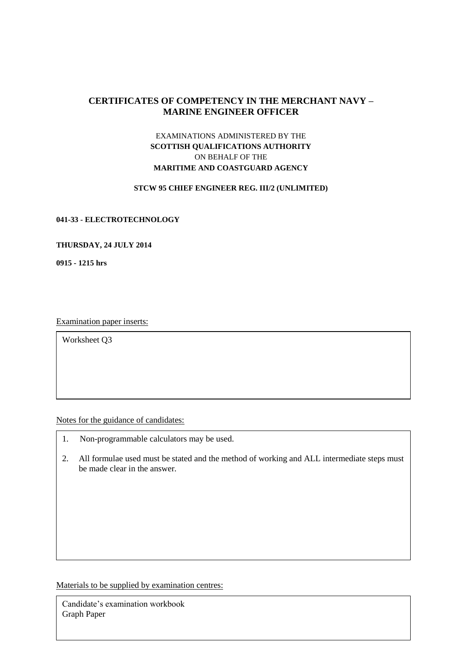# **CERTIFICATES OF COMPETENCY IN THE MERCHANT NAVY – MARINE ENGINEER OFFICER**

## EXAMINATIONS ADMINISTERED BY THE **SCOTTISH QUALIFICATIONS AUTHORITY** ON BEHALF OF THE **MARITIME AND COASTGUARD AGENCY**

## **STCW 95 CHIEF ENGINEER REG. III/2 (UNLIMITED)**

#### **041-33 - ELECTROTECHNOLOGY**

## **THURSDAY, 24 JULY 2014**

**0915 - 1215 hrs**

Examination paper inserts:

Worksheet Q3

Notes for the guidance of candidates:

- 1. Non-programmable calculators may be used.
- 2. All formulae used must be stated and the method of working and ALL intermediate steps must be made clear in the answer.

Materials to be supplied by examination centres:

Candidate's examination workbook Graph Paper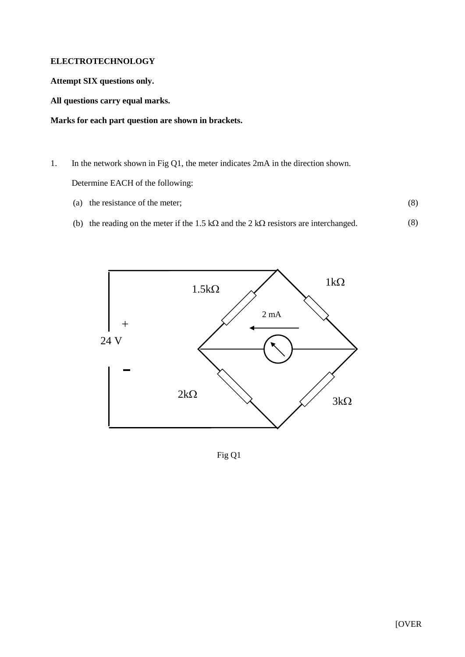## **ELECTROTECHNOLOGY**

**Attempt SIX questions only.**

**All questions carry equal marks.**

## **Marks for each part question are shown in brackets.**

- 1. In the network shown in Fig Q1, the meter indicates 2mA in the direction shown. Determine EACH of the following:
	- (a) the resistance of the meter; (8)
	- (b) the reading on the meter if the 1.5 k $\Omega$  and the 2 k $\Omega$  resistors are interchanged. (8)



Fig Q1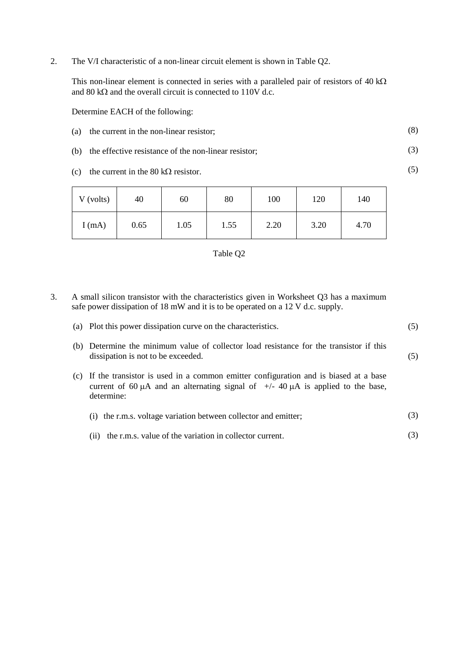2. The V/I characteristic of a non-linear circuit element is shown in Table Q2.

This non-linear element is connected in series with a paralleled pair of resistors of  $40 \text{ k}\Omega$ and 80 k $\Omega$  and the overall circuit is connected to 110V d.c.

Determine EACH of the following:

(a) the current in the non-linear resistor; (8)

(3)

(5)

(5)

- (b) the effective resistance of the non-linear resistor;
- (c) the current in the 80 k $\Omega$  resistor.

| V (volts) | 40   | 60   | 80   | 100  | 120  | 140  |
|-----------|------|------|------|------|------|------|
| I(mA)     | 0.65 | 1.05 | 1.55 | 2.20 | 3.20 | 4.70 |



3. A small silicon transistor with the characteristics given in Worksheet Q3 has a maximum safe power dissipation of 18 mW and it is to be operated on a 12 V d.c. supply.

| (a) Plot this power dissipation curve on the characteristics. |  |
|---------------------------------------------------------------|--|
|                                                               |  |

- (b) Determine the minimum value of collector load resistance for the transistor if this dissipation is not to be exceeded.
- (c) If the transistor is used in a common emitter configuration and is biased at a base current of 60  $\mu$ A and an alternating signal of  $+/-$  40  $\mu$ A is applied to the base, determine:

|  | (i) the r.m.s. voltage variation between collector and emitter; |  |
|--|-----------------------------------------------------------------|--|
|--|-----------------------------------------------------------------|--|

(ii) the r.m.s. value of the variation in collector current. (3)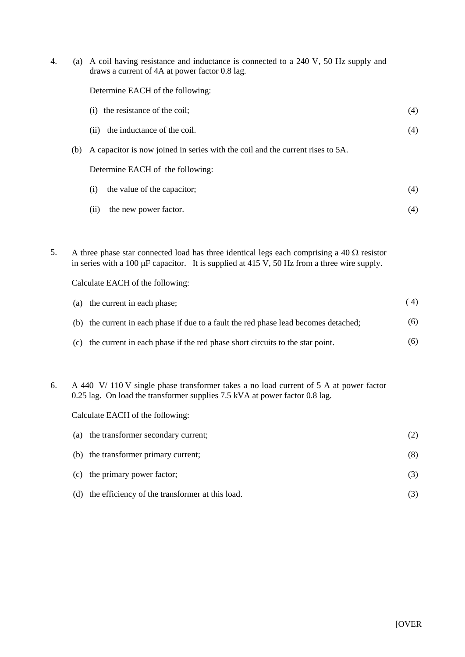| 4. |     | (a) A coil having resistance and inductance is connected to a 240 V, 50 Hz supply and<br>draws a current of 4A at power factor 0.8 lag. |     |
|----|-----|-----------------------------------------------------------------------------------------------------------------------------------------|-----|
|    |     | Determine EACH of the following:                                                                                                        |     |
|    |     | the resistance of the coil;<br>(1)                                                                                                      | (4) |
|    |     | the inductance of the coil.<br>(11)                                                                                                     | (4) |
|    | (b) | A capacitor is now joined in series with the coil and the current rises to 5A.                                                          |     |
|    |     | Determine EACH of the following:                                                                                                        |     |
|    |     | the value of the capacitor;<br>(i)                                                                                                      | (4) |
|    |     | the new power factor.<br>(11)                                                                                                           | (4) |
|    |     |                                                                                                                                         |     |

5. A three phase star connected load has three identical legs each comprising a  $40 \Omega$  resistor in series with a 100  $\mu$ F capacitor. It is supplied at 415 V, 50 Hz from a three wire supply.

Calculate EACH of the following:

| (a) the current in each phase;                                                       | (4) |
|--------------------------------------------------------------------------------------|-----|
| (b) the current in each phase if due to a fault the red phase lead becomes detached; | (6) |
| (c) the current in each phase if the red phase short circuits to the star point.     | (6) |

6. A 440 V/ 110 V single phase transformer takes a no load current of 5 A at power factor 0.25 lag. On load the transformer supplies 7.5 kVA at power factor 0.8 lag.

Calculate EACH of the following:

| (a) | the transformer secondary current;                  | (2) |
|-----|-----------------------------------------------------|-----|
|     | (b) the transformer primary current;                | (8) |
|     | (c) the primary power factor;                       | (3) |
|     | (d) the efficiency of the transformer at this load. |     |